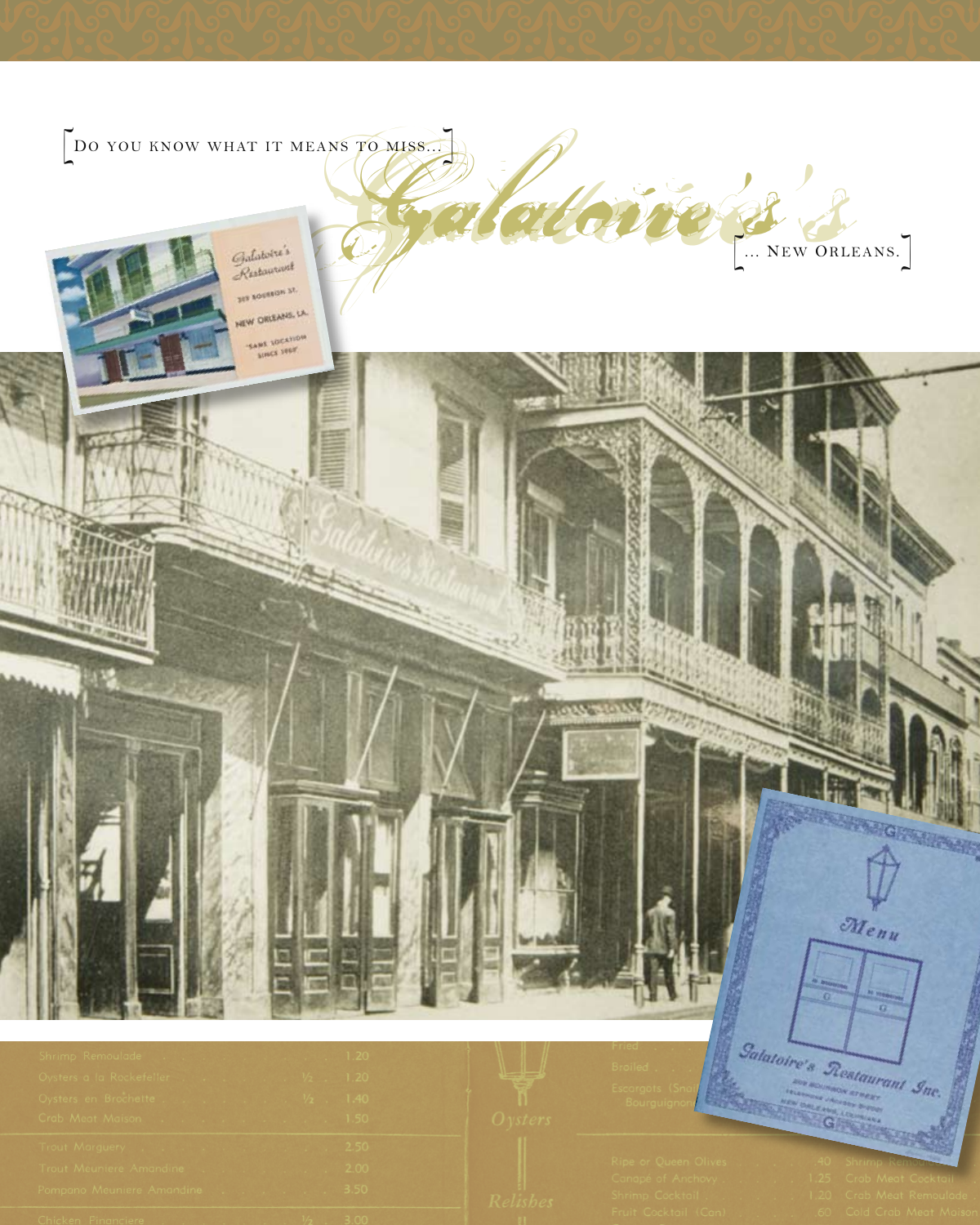